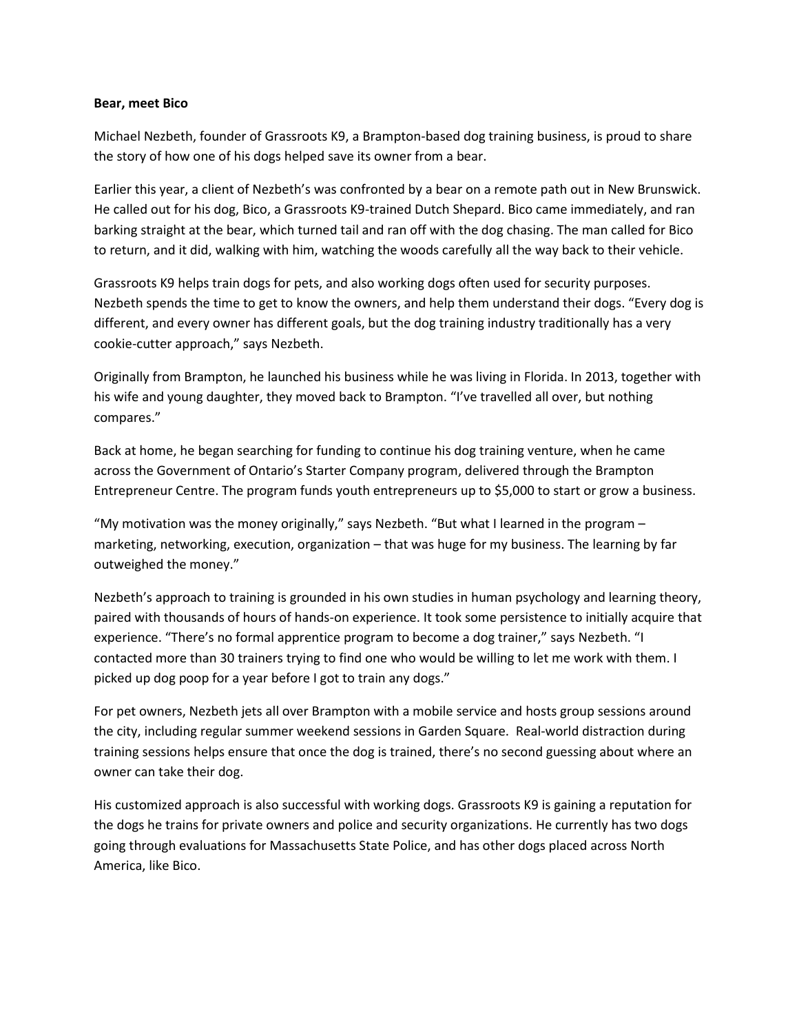## **Bear, meet Bico**

Michael Nezbeth, founder of Grassroots K9, a Brampton-based dog training business, is proud to share the story of how one of his dogs helped save its owner from a bear.

Earlier this year, a client of Nezbeth's was confronted by a bear on a remote path out in New Brunswick. He called out for his dog, Bico, a Grassroots K9-trained Dutch Shepard. Bico came immediately, and ran barking straight at the bear, which turned tail and ran off with the dog chasing. The man called for Bico to return, and it did, walking with him, watching the woods carefully all the way back to their vehicle.

Grassroots K9 helps train dogs for pets, and also working dogs often used for security purposes. Nezbeth spends the time to get to know the owners, and help them understand their dogs. "Every dog is different, and every owner has different goals, but the dog training industry traditionally has a very cookie-cutter approach," says Nezbeth.

Originally from Brampton, he launched his business while he was living in Florida. In 2013, together with his wife and young daughter, they moved back to Brampton. "I've travelled all over, but nothing compares."

Back at home, he began searching for funding to continue his dog training venture, when he came across the Government of Ontario's Starter Company program, delivered through the Brampton Entrepreneur Centre. The program funds youth entrepreneurs up to \$5,000 to start or grow a business.

"My motivation was the money originally," says Nezbeth. "But what I learned in the program – marketing, networking, execution, organization – that was huge for my business. The learning by far outweighed the money."

Nezbeth's approach to training is grounded in his own studies in human psychology and learning theory, paired with thousands of hours of hands-on experience. It took some persistence to initially acquire that experience. "There's no formal apprentice program to become a dog trainer," says Nezbeth. "I contacted more than 30 trainers trying to find one who would be willing to let me work with them. I picked up dog poop for a year before I got to train any dogs."

For pet owners, Nezbeth jets all over Brampton with a mobile service and hosts group sessions around the city, including regular summer weekend sessions in Garden Square. Real-world distraction during training sessions helps ensure that once the dog is trained, there's no second guessing about where an owner can take their dog.

His customized approach is also successful with working dogs. Grassroots K9 is gaining a reputation for the dogs he trains for private owners and police and security organizations. He currently has two dogs going through evaluations for Massachusetts State Police, and has other dogs placed across North America, like Bico.